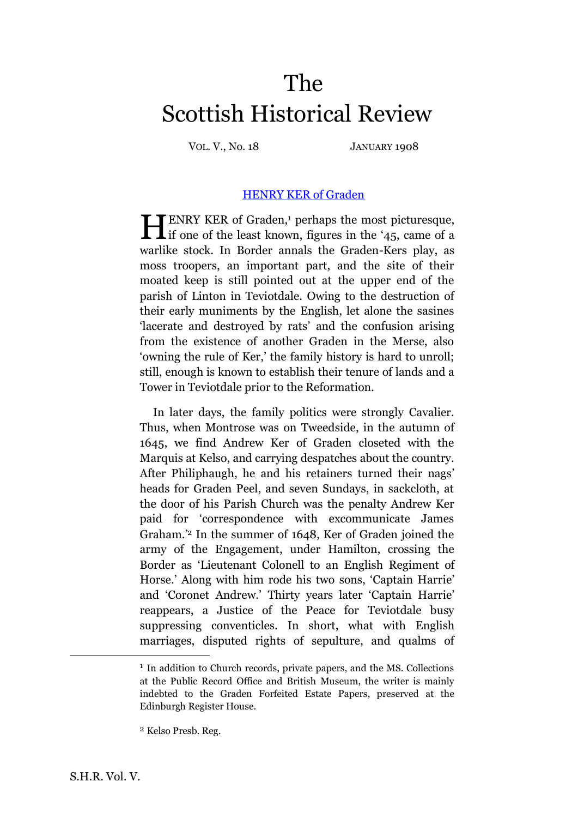## The Scottish Historical Review

VOL. V., No. 18 JANUARY 1908

## [HENRY KER of Graden](http://www.archive.org/stream/scottishhistoric05edinuoft#page/181/mode/1up)

ENRY KER of Graden, <sup>1</sup> perhaps the most picturesque, IF ENRY KER of Graden,<sup>1</sup> perhaps the most picturesque, if one of the least known, figures in the '45, came of a warlike stock. In Border annals the Graden-Kers play, as moss troopers, an important part, and the site of their moated keep is still pointed out at the upper end of the parish of Linton in Teviotdale. Owing to the destruction of their early muniments by the English, let alone the sasines 'lacerate and destroyed by rats' and the confusion arising from the existence of another Graden in the Merse, also 'owning the rule of Ker,' the family history is hard to unroll; still, enough is known to establish their tenure of lands and a Tower in Teviotdale prior to the Reformation.

In later days, the family politics were strongly Cavalier. Thus, when Montrose was on Tweedside, in the autumn of 1645, we find Andrew Ker of Graden closeted with the Marquis at Kelso, and carrying despatches about the country. After Philiphaugh, he and his retainers turned their nags' heads for Graden Peel, and seven Sundays, in sackcloth, at the door of his Parish Church was the penalty Andrew Ker paid for 'correspondence with excommunicate James Graham.' <sup>2</sup> In the summer of 1648, Ker of Graden joined the army of the Engagement, under Hamilton, crossing the Border as 'Lieutenant Colonell to an English Regiment of Horse.' Along with him rode his two sons, 'Captain Harrie' and 'Coronet Andrew.' Thirty years later 'Captain Harrie' reappears, a Justice of the Peace for Teviotdale busy suppressing conventicles. In short, what with English marriages, disputed rights of sepulture, and qualms of

<sup>&</sup>lt;sup>1</sup> In addition to Church records, private papers, and the MS. Collections at the Public Record Office and British Museum, the writer is mainly indebted to the Graden Forfeited Estate Papers, preserved at the Edinburgh Register House.

<sup>2</sup> Kelso Presb. Reg.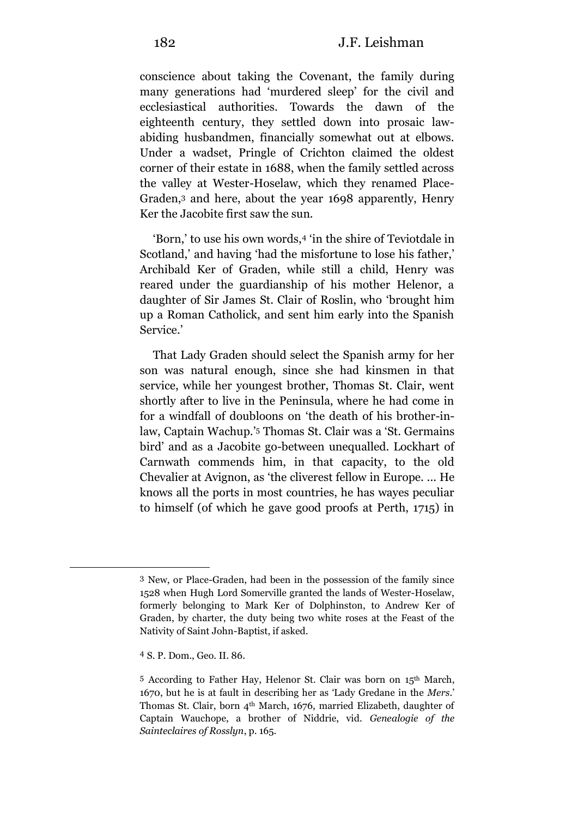conscience about taking the Covenant, the family during many generations had 'murdered sleep' for the civil and ecclesiastical authorities. Towards the dawn of the eighteenth century, they settled down into prosaic lawabiding husbandmen, financially somewhat out at elbows. Under a wadset, Pringle of Crichton claimed the oldest corner of their estate in 1688, when the family settled across the valley at Wester-Hoselaw, which they renamed Place-Graden,<sup>3</sup> and here, about the year 1698 apparently, Henry Ker the Jacobite first saw the sun.

'Born,' to use his own words,<sup>4</sup> 'in the shire of Teviotdale in Scotland,' and having 'had the misfortune to lose his father,' Archibald Ker of Graden, while still a child, Henry was reared under the guardianship of his mother Helenor, a daughter of Sir James St. Clair of Roslin, who 'brought him up a Roman Catholick, and sent him early into the Spanish Service.'

That Lady Graden should select the Spanish army for her son was natural enough, since she had kinsmen in that service, while her youngest brother, Thomas St. Clair, went shortly after to live in the Peninsula, where he had come in for a windfall of doubloons on 'the death of his brother-inlaw, Captain Wachup.' <sup>5</sup> Thomas St. Clair was a 'St. Germains bird' and as a Jacobite go-between unequalled. Lockhart of Carnwath commends him, in that capacity, to the old Chevalier at Avignon, as 'the cliverest fellow in Europe. ... He knows all the ports in most countries, he has wayes peculiar to himself (of which he gave good proofs at Perth, 1715) in

<sup>3</sup> New, or Place-Graden, had been in the possession of the family since 1528 when Hugh Lord Somerville granted the lands of Wester-Hoselaw, formerly belonging to Mark Ker of Dolphinston, to Andrew Ker of Graden, by charter, the duty being two white roses at the Feast of the Nativity of Saint John-Baptist, if asked.

<sup>4</sup> S. P. Dom., Geo. II. 86.

<sup>5</sup> According to Father Hay, Helenor St. Clair was born on 15th March, 1670, but he is at fault in describing her as 'Lady Gredane in the *Mers*.' Thomas St. Clair, born 4th March, 1676, married Elizabeth, daughter of Captain Wauchope, a brother of Niddrie, vid. *Genealogie of the Sainteclaires of Rosslyn*, p. 165.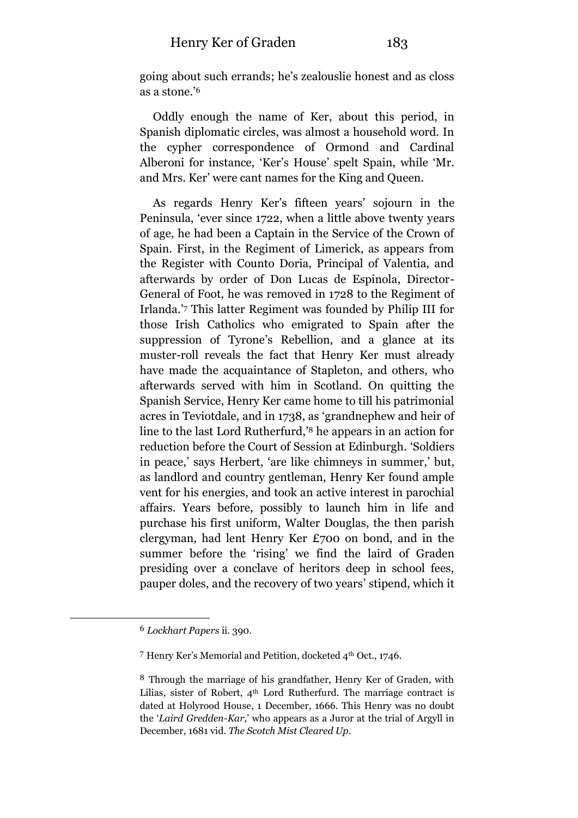going about such errands; he's zealouslie honest and as closs as a stone.' 6

Oddly enough the name of Ker, about this period, in Spanish diplomatic circles, was almost a household word. In the cypher correspondence of Ormond and Cardinal Alberoni for instance, 'Ker's House' spelt Spain, while 'Mr. and Mrs. Ker' were cant names for the King and Queen.

As regards Henry Ker's fifteen years' sojourn in the Peninsula, 'ever since 1722, when a little above twenty years of age, he had been a Captain in the Service of the Crown of Spain. First, in the Regiment of Limerick, as appears from the Register with Counto Doria, Principal of Valentia, and afterwards by order of Don Lucas de Espinola, Director-General of Foot, he was removed in 1728 to the Regiment of Irlanda.' <sup>7</sup> This latter Regiment was founded by Philip III for those Irish Catholics who emigrated to Spain after the suppression of Tyrone's Rebellion, and a glance at its muster-roll reveals the fact that Henry Ker must already have made the acquaintance of Stapleton, and others, who afterwards served with him in Scotland. On quitting the Spanish Service, Henry Ker came home to till his patrimonial acres in Teviotdale, and in 1738, as 'grandnephew and heir of line to the last Lord Rutherfurd,' <sup>8</sup> he appears in an action for reduction before the Court of Session at Edinburgh. 'Soldiers in peace,' says Herbert, 'are like chimneys in summer,' but, as landlord and country gentleman, Henry Ker found ample vent for his energies, and took an active interest in parochial affairs. Years before, possibly to launch him in life and purchase his first uniform, Walter Douglas, the then parish clergyman, had lent Henry Ker £700 on bond, and in the summer before the 'rising' we find the laird of Graden presiding over a conclave of heritors deep in school fees, pauper doles, and the recovery of two years' stipend, which it

<sup>6</sup> *Lockhart Papers* ii. 390.

<sup>7</sup> Henry Ker's Memorial and Petition, docketed 4th Oct., 1746.

<sup>8</sup> Through the marriage of his grandfather, Henry Ker of Graden, with Lilias, sister of Robert,  $4<sup>th</sup>$  Lord Rutherfurd. The marriage contract is dated at Holyrood House, 1 December, 1666. This Henry was no doubt the '*Laird Gredden-Kar*,' who appears as a Juror at the trial of Argyll in December, 1681 vid. *The Scotch Mist Cleared Up*.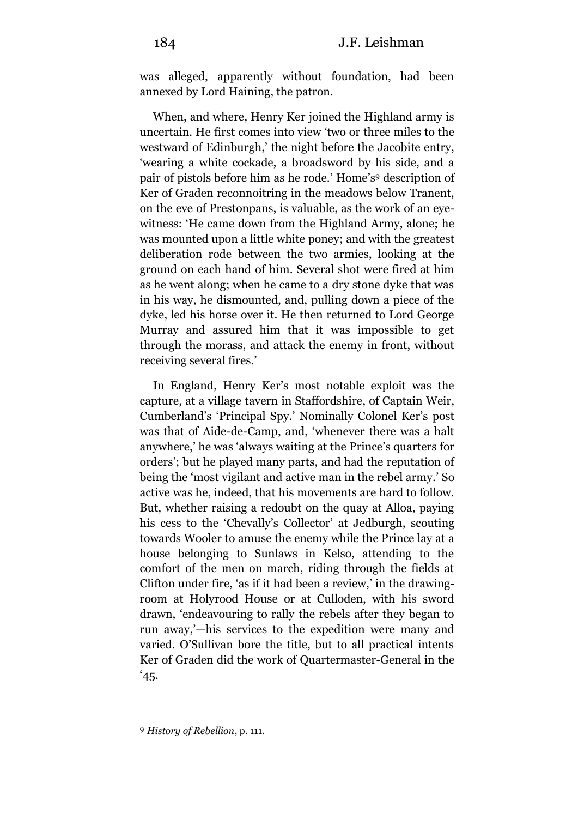was alleged, apparently without foundation, had been annexed by Lord Haining, the patron.

When, and where, Henry Ker joined the Highland army is uncertain. He first comes into view 'two or three miles to the westward of Edinburgh,' the night before the Jacobite entry, 'wearing a white cockade, a broadsword by his side, and a pair of pistols before him as he rode.' Home's <sup>9</sup> description of Ker of Graden reconnoitring in the meadows below Tranent, on the eve of Prestonpans, is valuable, as the work of an eyewitness: 'He came down from the Highland Army, alone; he was mounted upon a little white poney; and with the greatest deliberation rode between the two armies, looking at the ground on each hand of him. Several shot were fired at him as he went along; when he came to a dry stone dyke that was in his way, he dismounted, and, pulling down a piece of the dyke, led his horse over it. He then returned to Lord George Murray and assured him that it was impossible to get through the morass, and attack the enemy in front, without receiving several fires.'

In England, Henry Ker's most notable exploit was the capture, at a village tavern in Staffordshire, of Captain Weir, Cumberland's 'Principal Spy.' Nominally Colonel Ker's post was that of Aide-de-Camp, and, 'whenever there was a halt anywhere,' he was 'always waiting at the Prince's quarters for orders'; but he played many parts, and had the reputation of being the 'most vigilant and active man in the rebel army.' So active was he, indeed, that his movements are hard to follow. But, whether raising a redoubt on the quay at Alloa, paying his cess to the 'Chevally's Collector' at Jedburgh, scouting towards Wooler to amuse the enemy while the Prince lay at a house belonging to Sunlaws in Kelso, attending to the comfort of the men on march, riding through the fields at Clifton under fire, 'as if it had been a review,' in the drawingroom at Holyrood House or at Culloden, with his sword drawn, 'endeavouring to rally the rebels after they began to run away,'—his services to the expedition were many and varied. O'Sullivan bore the title, but to all practical intents Ker of Graden did the work of Quartermaster-General in the  $^4$ 45.

<sup>9</sup> *History of Rebellion*, p. 111.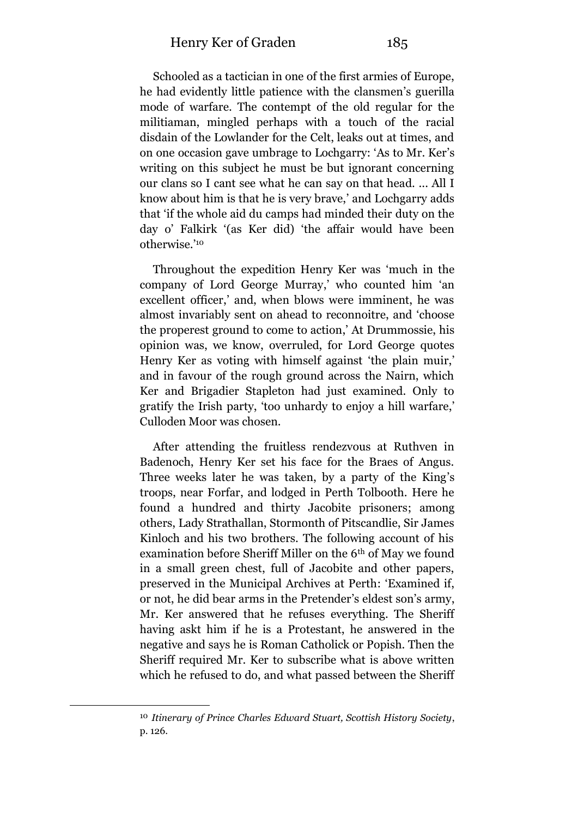Schooled as a tactician in one of the first armies of Europe, he had evidently little patience with the clansmen's guerilla mode of warfare. The contempt of the old regular for the militiaman, mingled perhaps with a touch of the racial disdain of the Lowlander for the Celt, leaks out at times, and on one occasion gave umbrage to Lochgarry: 'As to Mr. Ker's writing on this subject he must be but ignorant concerning our clans so I cant see what he can say on that head. ... All I know about him is that he is very brave,' and Lochgarry adds that 'if the whole aid du camps had minded their duty on the day o' Falkirk '(as Ker did) 'the affair would have been otherwise.' 10

Throughout the expedition Henry Ker was 'much in the company of Lord George Murray,' who counted him 'an excellent officer,' and, when blows were imminent, he was almost invariably sent on ahead to reconnoitre, and 'choose the properest ground to come to action,' At Drummossie, his opinion was, we know, overruled, for Lord George quotes Henry Ker as voting with himself against 'the plain muir,' and in favour of the rough ground across the Nairn, which Ker and Brigadier Stapleton had just examined. Only to gratify the Irish party, 'too unhardy to enjoy a hill warfare,' Culloden Moor was chosen.

After attending the fruitless rendezvous at Ruthven in Badenoch, Henry Ker set his face for the Braes of Angus. Three weeks later he was taken, by a party of the King's troops, near Forfar, and lodged in Perth Tolbooth. Here he found a hundred and thirty Jacobite prisoners; among others, Lady Strathallan, Stormonth of Pitscandlie, Sir James Kinloch and his two brothers. The following account of his examination before Sheriff Miller on the 6th of May we found in a small green chest, full of Jacobite and other papers, preserved in the Municipal Archives at Perth: 'Examined if, or not, he did bear arms in the Pretender's eldest son's army, Mr. Ker answered that he refuses everything. The Sheriff having askt him if he is a Protestant, he answered in the negative and says he is Roman Catholick or Popish. Then the Sheriff required Mr. Ker to subscribe what is above written which he refused to do, and what passed between the Sheriff

<sup>10</sup> *Itinerary of Prince Charles Edward Stuart, Scottish History Society*, p. 126.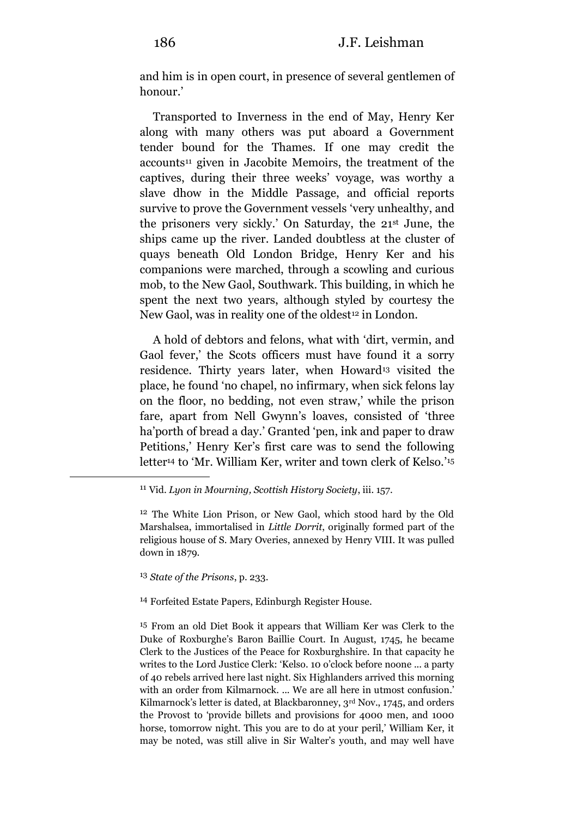and him is in open court, in presence of several gentlemen of honour.'

Transported to Inverness in the end of May, Henry Ker along with many others was put aboard a Government tender bound for the Thames. If one may credit the accounts<sup>11</sup> given in Jacobite Memoirs, the treatment of the captives, during their three weeks' voyage, was worthy a slave dhow in the Middle Passage, and official reports survive to prove the Government vessels 'very unhealthy, and the prisoners very sickly.' On Saturday, the 21st June, the ships came up the river. Landed doubtless at the cluster of quays beneath Old London Bridge, Henry Ker and his companions were marched, through a scowling and curious mob, to the New Gaol, Southwark. This building, in which he spent the next two years, although styled by courtesy the New Gaol, was in reality one of the oldest<sup>12</sup> in London.

A hold of debtors and felons, what with 'dirt, vermin, and Gaol fever,' the Scots officers must have found it a sorry residence. Thirty years later, when Howard<sup>13</sup> visited the place, he found 'no chapel, no infirmary, when sick felons lay on the floor, no bedding, not even straw,' while the prison fare, apart from Nell Gwynn's loaves, consisted of 'three ha'porth of bread a day.' Granted 'pen, ink and paper to draw Petitions,' Henry Ker's first care was to send the following letter<sup>14</sup> to 'Mr. William Ker, writer and town clerk of Kelso.' 15

12 The White Lion Prison, or New Gaol, which stood hard by the Old Marshalsea, immortalised in *Little Dorrit*, originally formed part of the religious house of S. Mary Overies, annexed by Henry VIII. It was pulled down in 1879.

## 13 *State of the Prisons*, p. 233.

<u>.</u>

14 Forfeited Estate Papers, Edinburgh Register House.

15 From an old Diet Book it appears that William Ker was Clerk to the Duke of Roxburghe's Baron Baillie Court. In August, 1745, he became Clerk to the Justices of the Peace for Roxburghshire. In that capacity he writes to the Lord Justice Clerk: 'Kelso. 10 o'clock before noone ... a party of 40 rebels arrived here last night. Six Highlanders arrived this morning with an order from Kilmarnock. ... We are all here in utmost confusion.' Kilmarnock's letter is dated, at Blackbaronney, 3<sup>rd</sup> Nov., 1745, and orders the Provost to 'provide billets and provisions for 4000 men, and 1000 horse, tomorrow night. This you are to do at your peril,' William Ker, it may be noted, was still alive in Sir Walter's youth, and may well have

<sup>11</sup> Vid. *Lyon in Mourning, Scottish History Society*, iii. 157.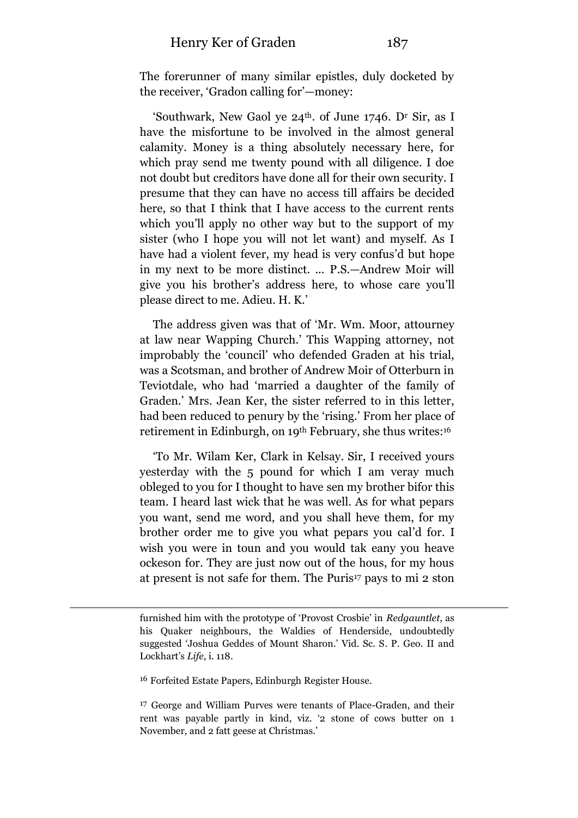The forerunner of many similar epistles, duly docketed by the receiver, 'Gradon calling for'—money:

'Southwark, New Gaol ye  $24<sup>th</sup>$ . of June 1746. D<sup>r</sup> Sir, as I have the misfortune to be involved in the almost general calamity. Money is a thing absolutely necessary here, for which pray send me twenty pound with all diligence. I doe not doubt but creditors have done all for their own security. I presume that they can have no access till affairs be decided here, so that I think that I have access to the current rents which you'll apply no other way but to the support of my sister (who I hope you will not let want) and myself. As I have had a violent fever, my head is very confus'd but hope in my next to be more distinct. ... P.S.—Andrew Moir will give you his brother's address here, to whose care you'll please direct to me. Adieu. H. K.'

The address given was that of 'Mr. Wm. Moor, attourney at law near Wapping Church.' This Wapping attorney, not improbably the 'council' who defended Graden at his trial, was a Scotsman, and brother of Andrew Moir of Otterburn in Teviotdale, who had 'married a daughter of the family of Graden.' Mrs. Jean Ker, the sister referred to in this letter, had been reduced to penury by the 'rising.' From her place of retirement in Edinburgh, on 19th February, she thus writes:<sup>16</sup>

'To Mr. Wilam Ker, Clark in Kelsay. Sir, I received yours yesterday with the 5 pound for which I am veray much obleged to you for I thought to have sen my brother bifor this team. I heard last wick that he was well. As for what pepars you want, send me word, and you shall heve them, for my brother order me to give you what pepars you cal'd for. I wish you were in toun and you would tak eany you heave ockeson for. They are just now out of the hous, for my hous at present is not safe for them. The Puris<sup>17</sup> pays to mi 2 ston

16 Forfeited Estate Papers, Edinburgh Register House.

-

furnished him with the prototype of 'Provost Crosbie' in *Redgauntlet*, as his Quaker neighbours, the Waldies of Henderside, undoubtedly suggested 'Joshua Geddes of Mount Sharon.' Vid. Sc. S. P. Geo. II and Lockhart's *Life*, i. 118.

<sup>&</sup>lt;sup>17</sup> George and William Purves were tenants of Place-Graden, and their rent was payable partly in kind, viz. '2 stone of cows butter on 1 November, and 2 fatt geese at Christmas.'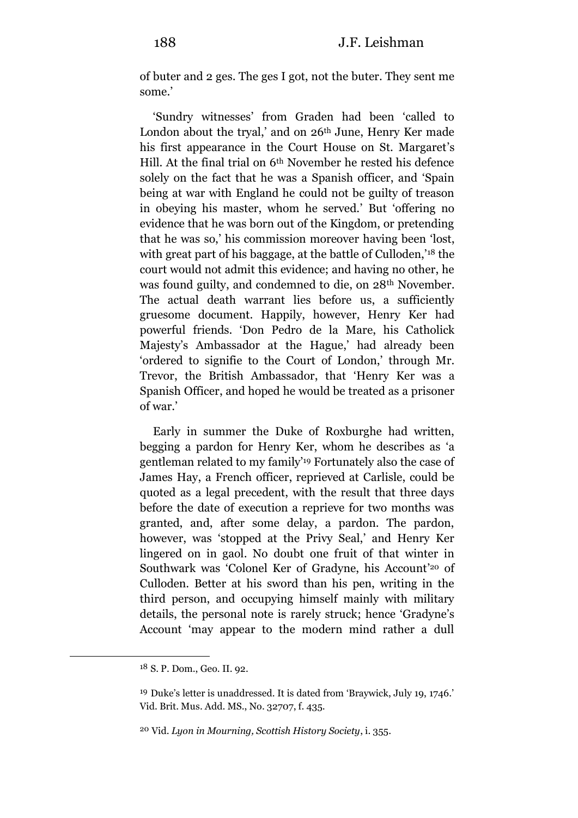of buter and 2 ges. The ges I got, not the buter. They sent me some.'

'Sundry witnesses' from Graden had been 'called to London about the tryal,' and on 26<sup>th</sup> June, Henry Ker made his first appearance in the Court House on St. Margaret's Hill. At the final trial on 6th November he rested his defence solely on the fact that he was a Spanish officer, and 'Spain being at war with England he could not be guilty of treason in obeying his master, whom he served.' But 'offering no evidence that he was born out of the Kingdom, or pretending that he was so,' his commission moreover having been 'lost, with great part of his baggage, at the battle of Culloden,' <sup>18</sup> the court would not admit this evidence; and having no other, he was found guilty, and condemned to die, on 28th November. The actual death warrant lies before us, a sufficiently gruesome document. Happily, however, Henry Ker had powerful friends. 'Don Pedro de la Mare, his Catholick Majesty's Ambassador at the Hague,' had already been 'ordered to signifie to the Court of London,' through Mr. Trevor, the British Ambassador, that 'Henry Ker was a Spanish Officer, and hoped he would be treated as a prisoner of war.'

Early in summer the Duke of Roxburghe had written, begging a pardon for Henry Ker, whom he describes as 'a gentleman related to my family'<sup>19</sup> Fortunately also the case of James Hay, a French officer, reprieved at Carlisle, could be quoted as a legal precedent, with the result that three days before the date of execution a reprieve for two months was granted, and, after some delay, a pardon. The pardon, however, was 'stopped at the Privy Seal,' and Henry Ker lingered on in gaol. No doubt one fruit of that winter in Southwark was 'Colonel Ker of Gradyne, his Account' <sup>20</sup> of Culloden. Better at his sword than his pen, writing in the third person, and occupying himself mainly with military details, the personal note is rarely struck; hence 'Gradyne's Account 'may appear to the modern mind rather a dull

<sup>18</sup> S. P. Dom., Geo. II. 92.

<sup>19</sup> Duke's letter is unaddressed. It is dated from 'Braywick, July 19, 1746.' Vid. Brit. Mus. Add. MS., No. 32707, f. 435.

<sup>20</sup> Vid. *Lyon in Mourning, Scottish History Society*, i. 355.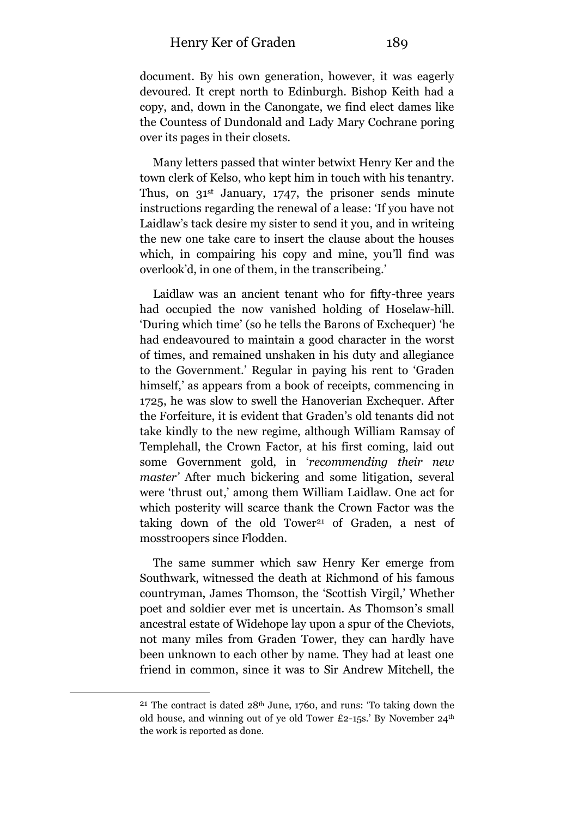document. By his own generation, however, it was eagerly devoured. It crept north to Edinburgh. Bishop Keith had a copy, and, down in the Canongate, we find elect dames like the Countess of Dundonald and Lady Mary Cochrane poring over its pages in their closets.

Many letters passed that winter betwixt Henry Ker and the town clerk of Kelso, who kept him in touch with his tenantry. Thus, on  $31<sup>st</sup>$  January, 1747, the prisoner sends minute instructions regarding the renewal of a lease: 'If you have not Laidlaw's tack desire my sister to send it you, and in writeing the new one take care to insert the clause about the houses which, in compairing his copy and mine, you'll find was overlook'd, in one of them, in the transcribeing.'

Laidlaw was an ancient tenant who for fifty-three years had occupied the now vanished holding of Hoselaw-hill. 'During which time' (so he tells the Barons of Exchequer) 'he had endeavoured to maintain a good character in the worst of times, and remained unshaken in his duty and allegiance to the Government.' Regular in paying his rent to 'Graden himself, as appears from a book of receipts, commencing in 1725, he was slow to swell the Hanoverian Exchequer. After the Forfeiture, it is evident that Graden's old tenants did not take kindly to the new regime, although William Ramsay of Templehall, the Crown Factor, at his first coming, laid out some Government gold, in '*recommending their new master'* After much bickering and some litigation, several were 'thrust out,' among them William Laidlaw. One act for which posterity will scarce thank the Crown Factor was the taking down of the old Tower<sup>21</sup> of Graden, a nest of mosstroopers since Flodden.

The same summer which saw Henry Ker emerge from Southwark, witnessed the death at Richmond of his famous countryman, James Thomson, the 'Scottish Virgil,' Whether poet and soldier ever met is uncertain. As Thomson's small ancestral estate of Widehope lay upon a spur of the Cheviots, not many miles from Graden Tower, they can hardly have been unknown to each other by name. They had at least one friend in common, since it was to Sir Andrew Mitchell, the

<sup>&</sup>lt;sup>21</sup> The contract is dated  $28<sup>th</sup>$  June, 1760, and runs: 'To taking down the old house, and winning out of ye old Tower £2-15s.' By November 24th the work is reported as done.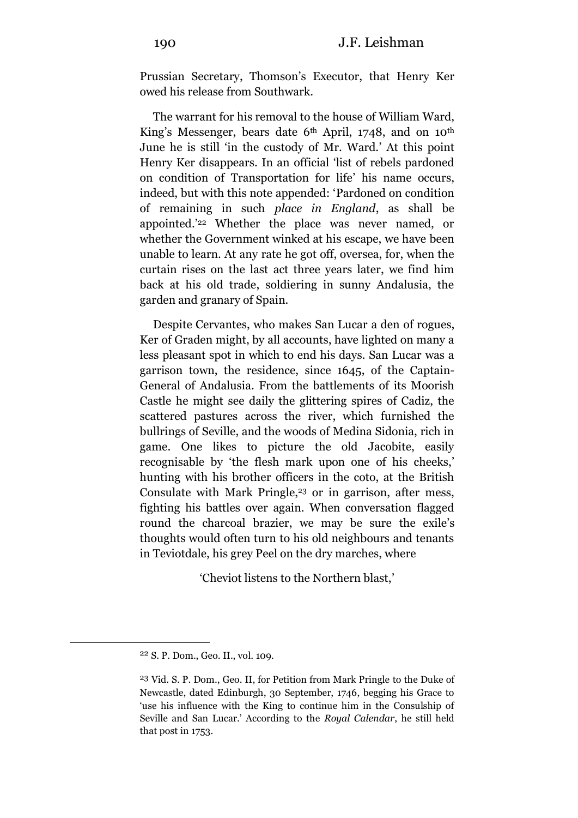Prussian Secretary, Thomson's Executor, that Henry Ker owed his release from Southwark.

The warrant for his removal to the house of William Ward, King's Messenger, bears date 6<sup>th</sup> April, 1748, and on 10<sup>th</sup> June he is still 'in the custody of Mr. Ward.' At this point Henry Ker disappears. In an official 'list of rebels pardoned on condition of Transportation for life' his name occurs, indeed, but with this note appended: 'Pardoned on condition of remaining in such *place in England*, as shall be appointed.' <sup>22</sup> Whether the place was never named, or whether the Government winked at his escape, we have been unable to learn. At any rate he got off, oversea, for, when the curtain rises on the last act three years later, we find him back at his old trade, soldiering in sunny Andalusia, the garden and granary of Spain.

Despite Cervantes, who makes San Lucar a den of rogues, Ker of Graden might, by all accounts, have lighted on many a less pleasant spot in which to end his days. San Lucar was a garrison town, the residence, since 1645, of the Captain-General of Andalusia. From the battlements of its Moorish Castle he might see daily the glittering spires of Cadiz, the scattered pastures across the river, which furnished the bullrings of Seville, and the woods of Medina Sidonia, rich in game. One likes to picture the old Jacobite, easily recognisable by 'the flesh mark upon one of his cheeks,' hunting with his brother officers in the coto, at the British Consulate with Mark Pringle,<sup>23</sup> or in garrison, after mess, fighting his battles over again. When conversation flagged round the charcoal brazier, we may be sure the exile's thoughts would often turn to his old neighbours and tenants in Teviotdale, his grey Peel on the dry marches, where

'Cheviot listens to the Northern blast,'

<sup>22</sup> S. P. Dom., Geo. II., vol. 109.

<sup>23</sup> Vid. S. P. Dom., Geo. II, for Petition from Mark Pringle to the Duke of Newcastle, dated Edinburgh, 30 September, 1746, begging his Grace to 'use his influence with the King to continue him in the Consulship of Seville and San Lucar.' According to the *Royal Calendar*, he still held that post in 1753.